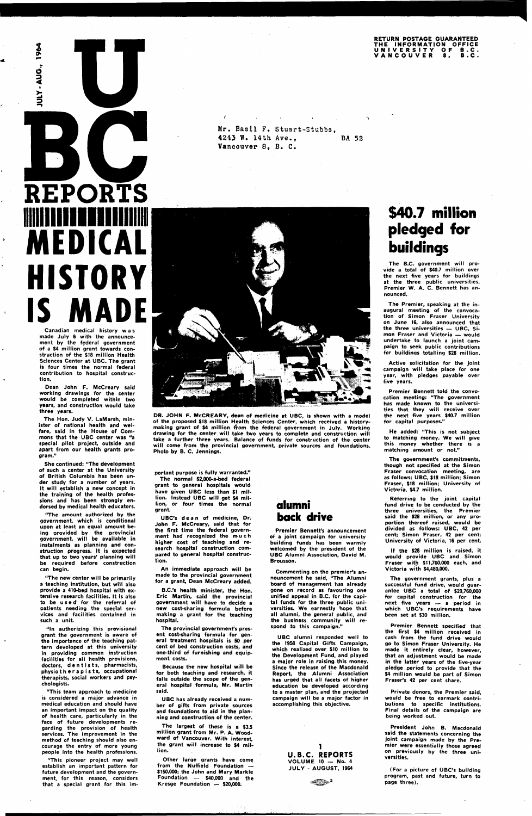#### **RETURN POSTAGE GUARANTEED T H E INFORMATIO N OFFIC E UNIVERSIT Y O F B.C . VANCOUVE R 8 , B.C .**

JULY-AUG., 1964

**REPORTS illille Ennilllill MEDICAL HISTORY IS MADE** 

Canadian medical history wa s made July 6 with the announcement by the federal government of a \$4 million grant towards construction of the \$18 million Health Sciences Center at UBC. The grant is four times the normal federal contribution to hospital construction.

Dean John F. McCreary said working drawings for the center would be completed within two years, and construction would take three years.

The Hon. Judy V. LaMarsh, minister of national health and welfare, said in the House of Commons that the UBC center was "a special pilot project, outside and apart from our health grants program."

She continued: "The development of such a center at the University of British Columbia has been under study for a number of years. It will establish a new concept in the training of the health professions and has been strongly endorsed by medical health educators.

'The amount authorized by the government, which is conditional upon at least an equal amount being provided by the provincial government, will be available in instalments as planning and construction progress. It is expected that up to two years' planning will be required before construction can begin.

"The new center will be primarily a teaching institution, but will also provide a 410-bed hospital with extensive research facilities. It is also to be use d for the referral of

patients needing the special services and facilities contained in such a unit

"In authorizing this provisional grant the government is aware of the importance of the teaching pattern developed at this university in providing common instruction facilities for all health provisions, doctors, dentists, pharmacists, physiotherapists, occupational therapists, social workers and psychologists.

"This team approach to medicine is considered a major advance in medical education and should have an important impact on the quality of health care, particularly in the face of future developments regarding the provision of health services. The improvement in the method of teaching should also encourage the entry of more young people into the health professions.

"This pioneer project may well establish an important pattern for future development and the government, for this reason, considers that a special grant for this im**Mr. Basil** F. Stuart-Stubbs, **4243 W. 14th Ave., BA 52 Vancouver 8, B. C.** 



DR. JOHN F. McCREARY, dean of medicine at UBC, is shown with a model of the proposed \$18 million Health Sciences Center, which received a historymaking grant of \$4 million from the federal government in July. Working drawing for the center will take two years to complete and construction will take a further three years. Balance of funds for construction of the center will come from the provincial government, private sources and foundations. Photo by B. C. Jennings.

Active solicitation for the joint campaign will take place for one year, with pledges payable over five years.

portant purpose is fully warranted." The normal \$2,000-a-bed federal grant to general hospitals would have given UBC less than \$1 million. Instead UBC will get \$4 million, or four times the normal grant.

UBC's dea n of medicine, Dr. John F. McCreary, said that for the first time the federal government had recognized the muc h higher cost of teaching and research hospital construction compared to general hospital construction.

An immediate approach will be made to the provincial government for a grant, Dean McCreary added.

B.C.'s health minister, the Hon. Eric Martin, said the provincial government will have to decide a new cost-sharing formula before making a grant for the teaching hospital.

The provincial government's present cost-sharing formula for general treatment hospitals is 50 per cent of bed construction costs, and one-third of furnishing and equipment costs.

Because the new hospital will be for both teaching and research, it falls outside the scope of the general hospital formula, Mr. Martin said.

UBC has already received a number of gifts from private sources and foundations to aid in the planning and construction of the center.

The largest of these is a \$3.5 million grant from Mr. P. A. Woodward of Vancouver. With interest the grant will increase to \$4 million.

Other large grants have come from the Nuffield Foundation \$150,000; the John and Mary Markle Foundation — \$40,000 and the Kresge Foundation — \$20,000.

### **alumni back drive**

Premier Bennett's announcement of a joint campaign for university building funds has been warmly welcomed by the president of the UBC Alumni Association, David M. Brousson.

Commenting on the premier's announcement he said, "The Alumni board of management has already gone on record as favouring one unified appeal in B.C. for the capital funds for the three public universities. We earnestly hope that all alumni, the general public, and the business community will respond to this campaign."

UBC alumni responded well to the 1958 Capital Gifts Campaign, which realized over \$10 million to the Development Fund, and played a major role in raising, this money. Since the release of the Macdonald Report, the Alumni Association has urged that all facets of higher education be developed according to a master plan, and the projected campaign will be a major factor in accomplishing this objective.





**\$40.7 million pledged for buildings** 

The B.C. government will provide a total of \$40.7 million over the next five years for buildings at the three public universities, Premier W. A. C. Bennett has announced.

The Premier, speaking at the inaugural meeting of the convocation of Simon Fraser University on June 16, also announced that the three universities — UBC, Simon Fraser and Victoria — would undertake to launch a joint campaign to seek public contributions for buildings totalling \$28 million.

Premier Bennett told the convocation meeting: "The government has made known to the universities that they will receive over the next five years \$40.7 million for capital purposes."

He added: 'This is not subject to matching money. We will give this money whether there is a matching amount or not"

The government's commitments, though not specified at the Simon Fraser convocation meeting, are as follows: UBC, \$18 million; Simon Fraser, \$18 million; University of Victoria, \$4.7 million.

Referring to the joint capital fund drive to be conducted by the three universities, the Premier said the \$28 million, or any proportion thereof raised, would be divided as follows: UBC, 42 per cent; Simon Fraser, 42 per cent; University of Victoria, 16 per cent.

If the \$28 million is raised, it would provide UBC and Simon Fraser with \$11,760,000 each, and Victoria with \$4,480,000.

The government grants, plus a successful fund drive, would guarantee UBC a total of \$29,760,000 for capital construction for the next five years — a period in which UBC's requirements have been set at \$30 million.

Premier Bennett specified that the first \$4 million received in cash from the fund drive would go to Simon Fraser University. He made it entirely clear, however, that an adjustment would be made in the latter years of the five-year pledge period to provide that the \$4 million would be part of Simon Fraser's 42 per cent share.

Private donors, the Premier said, would be free to earmark contributions to specific institutions. Final details of the campaign are being worked out.

President John B. Macdonald said the statements concerning the joint campaign made by the Premier were essentially those agreed on previously by the three universities.

(For a picture of UBC's building program, past and future, turn to page three).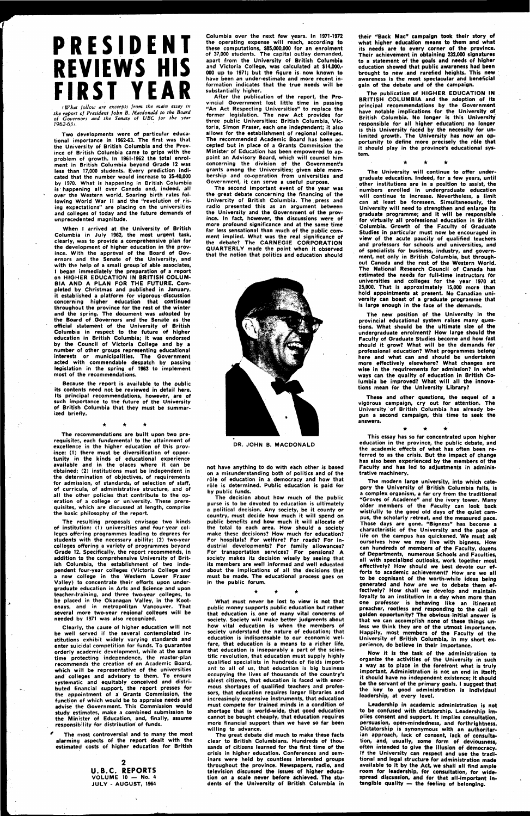## **PRESIDENT REVIEWS HIS FIRST YEAR**

*l What follow are excerpts from the main essay in the report of President John B. Macdonald to the Board of Governors and the Senate of UBC for the year 1962-631.* 

**Two developments were of particular educational importance in 1962-63. The first was that the University of British Columbia and the Province of British Columbia came to grips with the problem of growth. In 1961-1962 the total enrolment in British Columbia beyond Grade 12 was less than 17,000 students. Every prediction indicated that the number would increase to 35-40,000 by 1970. What is happening in British Columbia is happening all over Canada and, indeed, all over the Western world. Soaring birth rates following World War II and the "revolution of rising expectations" are placing on the universities and colleges of today and the future demands of unprecedented magnitude.** 

**When I arrived at the University of British Columbia in July 1962, the most urgent task, clearly, was to provide a comprehensive plan for the development of higher education in the province. With the approval of the Board of Governors and the Senate of the University, and with the help of a small group of able associates, I began immediately the preparation of a report on HIGHER EDUCATION IN BRITISH COLUM-BIA AND A PLAN FOR THE FUTURE. Completed by Christmas and published in January, it established a platform for vigorous discussion concerning higher education that continued throughout the province for the rest of the winter and the spring. The document was adopted by the Board of .Governors and the Senate as the official statement of the University of British Columbia in respect to the future of higher education in British Columbia; it was endorsed by the Council of Victoria College and by a number of other groups representing educational interests or municipalities. The Government acted with commendable despatch by passing legislation in the spring of 1963 to implement most of the recommendations.** 

**Because the report is available to the public its contents need not be reviewed in detail here. Its principal recommendations, however, are of such importance to the future of the University of British Columbia that they must be summarized briefly.** 

> $\mathbf 2$ **U.B.C. REPORTS VOLUME 10 — No. 4 JULY - AUGUST, 1964**

**The recommendations are built upon two prerequisites, each fundamental to the attainment of excellence in the higher education of this province: (1) there must be diversification of opportunity in the kinds of educational experience available and in the places where it can be obtained; (2) institutions must be independent in the determination of objectives, of requirements for admission, of standards, of selection of staff, of curricula, of administrative structure, and of all the other policies that contribute to the operation of a college or university. These prerequisites, which are discussed at length, comprise the basic philosophy of the report.** 

After the publication of the report, the Pro**vincial Government lost little time in passing "An Act Respecting Universities" to replace the former legislation. The new Act provides for three public Universities: British Columbia, Victoria, Simon Fraser, each one independent; it also allows for the establishment of regional colleges. The recommended Academic Board has been accepted but in place of a Grants Commission the Minister of Education has been empowered to appoint an Advisory Board, which will counsel him concerning the division of the Government's grants among the Universities; given able membership and co-operation from universities and Government, it can serve a useful purpose.** 

**The resulting proposals envisage two kinds of institution: (1) universities and four-year colleges offering programmes leading to degrees for students with the necessary ability; (2) two-year colleges offering a variety of programmes beyond Grade 12. Specifically, the report recommends, in addition to the comprehensive University of British Columbia, the establishment of two independent four-year colleges (Victoria College and a new college in the Western Lower Fraser Valley) to concentrate their efforts upon undergraduate education in Arts and Science and upon teacher-training, and three two-year colleges, to be placed in the Okanagan Valley, in the Koot**and in metropolitan Vancouver. **several more two-year regional colleges will be needed by 1971 was also recognized. Clearly, the cause of higher education will not be well served if the several contemplated institutions exhibit widely varying standards and enter suicidal competition for funds. To guarantee orderly academic development, while at the same time protecting independence, the master-plan recommends the creation of an Academic Board, which will be representative of the universities and colleges and advisory to them. To ensure systematic and equitably conceived and distributed financial support, the report presses for the appointment of a Grants Commission, the function of which would be to appraise needs and advise the Government. This Commission would study estimates, make a combined submission to the Minister of Education, and, finally, assume responsibility for distribution of funds.** 

**' The most controversial and to many the most alarming aspects of the report dealt with the estimated costs of higher education for British**  **Columbia over the next few years. In 1971-1972 the operating expense will reach, according to these computations, \$85,000,000 for an enrolment of 37,000 students. The capital outlay demanded, apart from the University of British Columbia and Victoria College, was calculated at \$14,000,- 000 up to 1971; but the figure is now known to have been an under-estimate and more recent information indicates that the true needs will be substantially higher.** 

**The second important event of the year was the great debate concerning the financing of the University of British Columbia. The press and radio presented this as an argument between the University and the Government of the province. In fact, however, the discussions were of more profound significance and at the same time far less sensational than much of the public comment implied. What was the real significance of the debate? The CARNEGIE CORPORATION QUARTERLY made the point when it observed that the notion that politics and education should** 



**DR. JOHN B. MACDONALD** 

**not have anything to do with each other is based on a misunderstanding both of politics and of the role of education in a democracy and how that role is determined. Public education is paid for by public funds.** 

**The decision about how much of the public purse is to be devoted to education is ultimately a political decision. Any society, be it county or country, must decide how much it will spend on public benefits and how much it will allocate of the total to each area. How should a society make these decisions? How much for education? For hospitals? For welfare? For roads? For industrial developments? For family allowances? For transportation services? ' For pensions? A society makes its decision wisely by seeing that its members are well informed and well educated about the implications of all the decisions that must be made. The educational process goes on in the public forum.** 

**What must never be lost to view is not that** 

**public money supports public education but rather that education is one of many vital concerns of society. Society will make better judgments about how vital education is when the members of society understand the nature of education; that education is indispensable to our economic welfare, that education is a means to a richer life, that education is inseparably a part of the scientific revolution, that education must supply highly qualified specialists in hundreds of fields important to all of us, that education is big business occupying the lives of thousands of the country's ablest citizens, that education is faced with enormous shortages of qualified teachers and professors, that education requires larger libraries and increasingly expensive instruments, that education must compete for trained minds in a condition of shortage that is world-wide, that good education cannot be bought cheaply, that education requires more financial support than we have so far been willing to advance.** 

**The great debate did much to make these facts clear to British Columbians. Hundreds of thousands of citizens learned for the first time of the crisis in higher education. Conferences and seminars were held by countless interested groups throughout the province. Newspapers, radio, and television discussed the issues of higher education on a scale never before achieved. The students -of the University of British Columbia in** 

**their "Back Mac" campaign took their story of what higher education means to them and what its needs are to every corner of the province. Their achievement in obtaining 232,000 signatures to a statement of the goals and needs of higher education showed that public awareness had been brought to new and rarefied heights. This new awareness is the most spectacular and beneficial gain of the debate and of the campaign.** 

**The publication of HIGHER EDUCATION IN BRITISH COLUMBIA and the adoption of its principal recommendations by the Government have notable implications for the University of British Columbia. No longer is this University responsible for all higher education; no longer is this University faced by the necessity for unlimited growth. The University has now an op**portunity to define more precisely the rôle that **it should play in the province's educational system.** 

 $\star$ 

**The University will continue to offer undergraduate education. Indeed, for a few years, until other institutions are in a position to assist, the numbers enrolled in undergraduate education will continue to increase. Nevertheless, a limit can at least be foreseen. Simultaneously, the University will need to strengthen and enlarge its graduate programme; and it will be responsible for virtually all professional education in British Columbia. Growth of the Faculty of Graduate Studies in particular must now be encouraged in view of the acute paucity of qualified teachers and professors for schools and universities, and of specialists for business, industry, and govern**ment, not only in British Columbia, but through**out Canada and the rest of the Western World. The National Research Council of Canada has estimated the needs for full-time instructors for universities and colleges for the year 1970 at 25,000. That is approximately 15,000 more than**  hold appointments at present. No Canadian uni**versity can boast of a graduate programme that is large enough in the face of the demands.** 

**The new position of the University in the provincial educational system raises many questions. What should be the ultimate size of the undergraduate enrolment? How large should the Faculty of Graduate Studies become and how fast should it grow? What will be the demands for professional education? What programmes belong here and what can and should be undertaken more effectively elsewhere? What changes are wise in the requirements for admission? In what ways can the quality of education in British Columbia be improved? What will all the innovations mean for the University Library?** 

**These and other questions, the sequel of a vigorous campaign, cry out for attention. The University of British Columbia has already begun a second campaign, this time to seek the answers.** 

**• • \*** 

**This essay has so far concentrated upon higher education in the province, the public debate, and the academic effects of what has often been referred to as the crisis. But the impact of change has also been experienced by the members of the Faculty and has led to adjustments in administrative machinery.** 

**The modern large university, into which category the University of British Columbia falls, is a complex organism, a far cry from the traditional "Groves of Academe" and the ivory tower. Many older members of the Faculty can look back wistfully to the good old days of the quiet campus, the scholarly retreat, and the measured pace. Those days are gone. "Bigness" has become a characteristic of the University and the pace of life on the campus has quickened. We must ask ourselves how we may live with bigness. How can hundreds of members of the Faculty, dozens of Departments, numerous Schools and Faculties, all with specialized outlooks, work together most effectively? How should we best devote our efforts to academic achievement? How are we all to be cognisant of the worth-while ideas being generated and how are we to debate them effectively? How shall we develop and maintain loyalty to an institution in a day when more than one professor is behaving like an itinerant preacher, rootless and responding to the Call of golden opportunity? The obvious initial answer is that we can accomplish none of these things unless we think they are of the utmost importance. Happily, most members of the Faculty of the University of British Columbia, in my short experience, do believe in their importance.** 

**Now it is the task of the administration to organize the activities of the University in such a way as to place in the forefront what is truly important Administration is not an end in itself; it should have no independent existence; it should be the servant of the primary goals. I suggest that the key to good administration is individaul leadership, at every level.** 

**Leadership in academic administration is not to be confused with dictatorship. Leadership implies consent and support. It implies consultation, persuasion, open-mindedness, and forthrightness. Dictatorship is synonymous with an authoritarian approach, lack of consent, lack of consultation, and, usually, some form of deviousness, often intended to give the illusion of democracy. If the University can respect and use the traditional and legal structure for administration made**  available to it by the Act, we shall all find ample **room for leadership, for consultation, for widespread discussion, and for that all-important intangible quality — the feeling of belonging.** 

**\*\_\_\_\_\_\_•**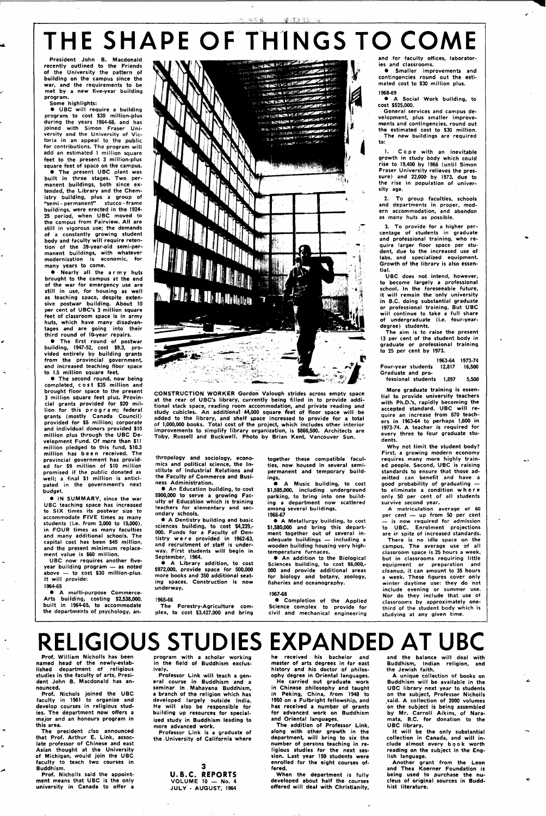#### 328 A Septembre 3

# **THE SHAPE OF THINGS TO COME**

**President John B. Macdonald recently outlined to the Friends of the University the pattern of building on the campus since the war, and the requirements to be met by a new five-year building program.** 

#### **Some highlights:**

**• UBC will require a building programi to cost \$30 million-plus during the years 1964-68, and has joined with Simon Fraser University and the University of Victoria in an appeal to the public for contributions. The program will add an estimated 1 million square feet to the present 3 million-plus square feet of space on the campus.** 

**• The present UBC plant was built in three stages. Two permanent buildings, both since extended, the Library and the Chemistry building, plus a group of "semi - permanent" stucco - frame buildings, were erected in the 1924- 25 period, when UBC moved to the campus from Fairview. All are still in vigorous use; the demands of a constantly growing student body and faculty will require retention of the 39-year-old semi-permanent buildings, with whatever modernization is economic, for many years to come.** 

**• Nearly all the a r my huts brought to the campus at the end of the war for emergency use are still in use, for housing as well as teaching space, despite extensive postwar building. About 10 per cent of UBC's 3 million square feet of classroom space is in army huts, which have many disadvantages and are going into their third round of 10-year repairs.** 

**• The first round of postwar building, 1947-52, cost \$9.3, provided entirely by building grants**  from the provincial government, **and increased teaching floor space to 1.5 million square feet.** 

**• The second round, now being completed, cos t \$35 million and brought floor space to the present 3 million square feet plus. Provincial grants provided for \$20 mil**lion for this program; federal **grants (mostly Canada Council) provided for \$5 million; corporate and individual donors provided \$10 million plus through the UBC Development Fund. Of more than \$11 million pledged to this fund, \$10.3 million has bee n received. The provincial government has provided for \$9 million of \$10 million promised if the public donated as well; a final \$1 million is anticipated in the government's next budget.** 

**• IN SUMMARY, since the war UBC teaching space has increased to SIX times its postwar size to accommodate FIVE times as many students (i.e. from 3,000 to 15,000), in FOUR times as many faculties and many additional schools. The capital cost has been \$45 million, and the present minimum replacement value is \$60 million.** 

**UBC now requires another fiveyear building program — as noted above — to cost \$30 million-plus. It will provide: 1964-65** 

1. Cope with an inevitable **growth in study body which could rise to 19,400 by 1966 (until Simon Fraser University relieves the pressure) and 22,000 by 1973, due to the rise in population of university age.** 

**• A multi-purpose Commerce-Arts building, costing \$2,538,000, built in 1964-65, to accommodate the departments of psychology, an-**



**CONSTRUCTION WORKER Gordon Valough strides across empty space at the rear of UBC's library, currently being filled in to provide additional stack space, reading room accommodation, and private reading and study cubicles. An additional 44,000 square feet of floor space will be added to the library, and shelf space increased to provide for a total of 1,000,000 books. Total cost of the project, which includes other interior improvements to simplify library organization, is \$866,500. Architects are Toby, Russell and Buckwell. Photo by Brian Kent, Vancouver Sun.** 

**thropology and sociology, economics and political science, the Institute of Industrial Relations and the Faculty of Commerce and Business Administration.** 

**• An Education building, to cost \$900,000 to serve a growing Faculty of Education which is training teachers for elementary and secondary schools.** 

**• A Dentistry building and basic sciences building, to cost \$4,229,- 000. Funds for a Faculty of Dentistry wer e provided in 1962-63, and recruitment of staff is underway. First students will begin in September, 1964.** 

**• A Library addition, to cost \$972,000, provide space for 500,000 more books and 350 additional seating spaces. Construction is now underway.** 

The president also announced **that Prof. Arthur E. Link, associate professor of Chinese and east Asian thought at the University of Michigan, would join the UBC faculty to teach two courses in Buddhism.** 

#### **1965-66**

**The Forestry-Agriculture complex, to cost \$3,427,000 and bring**  **together these compatible faculties, now housed in several semipermanent and temporary buildings.** 

**• A Music building, to cost \$1,585,000, including underground parking, to bring into one building a department now scattered among several buildings.** 

3 **U.B.C. REPORTS VOLUME 10 — No. 4 JULY - Al/GUST, 1964**  **1966-67 • A Metallurgy building, to cost \$1,580,000 and bring this department together out of several inadequate buildings — including a wooden building housing very hightemperature furnaces.** 

**• An addition to the Biological Sciences building, to cost \$6,000,- 000 and provide additional areas for biology and botany, zoology, fisheries and oceanography.** 

### **1967-68**

**• Completion of the Applied Science complex to provide for civil and mechanical engineering** 

**and for faculty offices, laboratories and classrooms.** 

**• Smaller improvements and contingencies round out the estimated cost to \$30 million plus.** 

#### **1968-69**

**• A Social Work building, to cost \$525,000.** 

**General services and campus development, plus smaller improvements and contingencies, round out the estimated cost to \$30 million. The new buildings are required to:** 

**2. To group faculties, schools and departments in proper, modern accommodation, and abandon as many huts as possible.** 

**3. To provide for a higher percentage of students in graduate and professional training, who require larger floor space per student, due to the increased use of labs, and specialized equipment. Growth of the library is also essential.** 

**UBC does not intend, however, to become largely a professional school. In the foreseeable future, it will remain the only university in B.C. doing substantial graduate or professional training. But UBC will continue to take a full share of undergraduate (i.e. four-yeardegree) students.** 

**The aim is to raise the present 13 per cent of the student body in graduate or professional training to 25 per cent by 1973.** 

|                    | 1963-64 | 1973-74 |
|--------------------|---------|---------|
| Four-year students | 12.817  | 16,500  |
| Graduate and pro-  |         |         |
| fessional students | 1.897   | 5.500   |

**More graduate training is essential to provide university teachers with Ph.D.'s, rapidly becoming the accepted standard. UBC will require an increase from 870 teachers in 1963-64 to perhaps 1,600 in 1973-74. A teacher is required for every three to four graduate students.** 

**Why not limit the student body? First, a growing modern economy requires many more highly trained people. Second, UBC is raising standards to ensure that those admitted can benefit and have a good probability of graduating to eliminate a condition wher e only 50 per cent of all students survive second year.** 

**A matriculation average of 60 per cent — up from 50 per cent — is now required for admission to UBC. Enrolment projections are in spite of increased standards.** 

**There is no idle space on the campus. The average use of all classroom space is 25 hours a week, but in classrooms requiring little equipment or preparation and cleanup, it can amount to 35 hours a week. These figures cover only winter daytime use: they do not include evening or summer use. Nor do they include that use of classrooms by approximately onethird of the student body which is studying at any given time.** 

## **RELIGIOUS STUDIES EXPANDED AT U**

**Prof. William Nicholls has been named head of the newly-established department of religious studies in the faculty of arts, President John B. Macdonald has announced.** 

**Prof. Nichols joined the UBC faculty in 1961 to organize and develop courses in religious studies. The department now offers a major and an honours program in this area.** 

**Prof. Nicholls said the appointment means that UBC is the only university in Canada to offer a** 

**program with a scholar working in the field of Buddhism exclusively.** 

**Professor Link will teach a general course in Buddhism and a seminar in . Mahayana Buddhism, a branch of the religion which has developed largely outside India. He will also be responsible for building up resources for specialized study in Buddhism leading to more advanced work.** 

**Professor Link is a graduate of the .University of California where**  **he received his bachelor and master of arts degrees in far east history and his doctor of philosophy degree in Oriental languages. He carried out graduate work in Chinese philosophy and taught in Peking, China, from 1948 to 1950 on a Fulbright fellowship, and has received a number of grants for advanced work on Buddhism and Oriental languages.** 

**The addition of Professor Link, along with other growth in the**  department, will bring to six the **number of persons teaching in religious studies for the next session. Last year 150 students were enrolled for the eight courses offered.** 

**When the department is fully developed about half the courses offered will deal with Christianity,** 

**and the balance will deal with Buddhism, Indian religion, and the Jewish faith.** 

**A unique collection of books on Buddhism will be available in the UBC library next year to students on the subject, Professor Nicholls said. A collection of 2000 volumes on the subject is being assembled by Mr. Carroll Aikins, of Naramata, B.C. for donation to the UBC library.** 

**It will be the only substantial collection in Canada, and will in**clude almost every **book** worth **reading on the subject in the English language.** 

**Another grant from the Leon and Thea Koerner Foundation is being used to purchase the nucleus of original sources in Buddhist literature.**